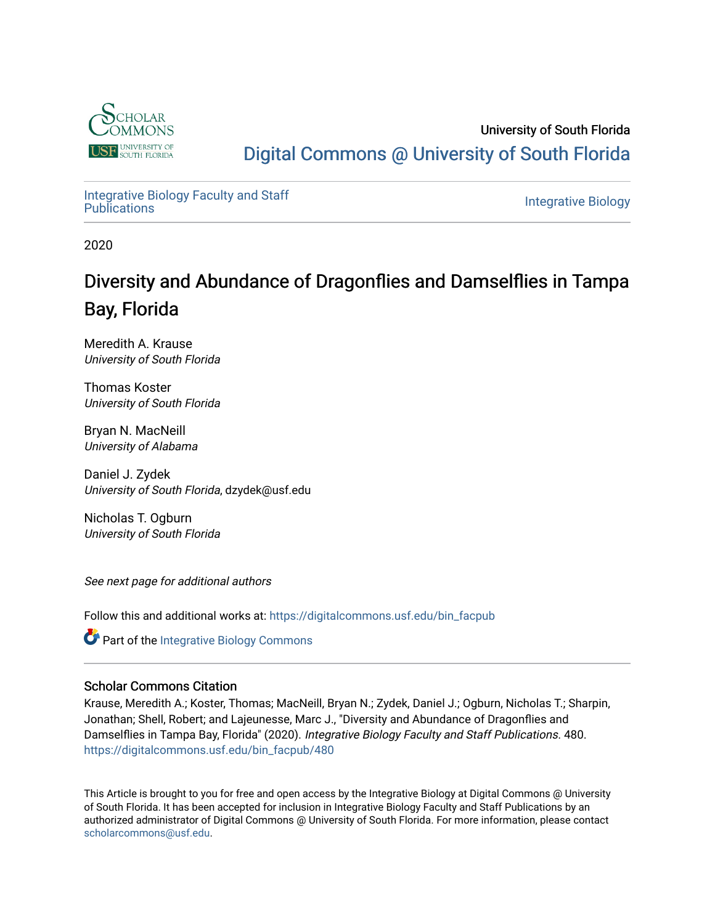

### University of South Florida [Digital Commons @ University of South Florida](https://digitalcommons.usf.edu/)

[Integrative Biology Faculty and Staff](https://digitalcommons.usf.edu/bin_facpub) 

**Integrative Biology** 

2020

### Diversity and Abundance of Dragonflies and Damselflies in Tampa Bay, Florida

Meredith A. Krause University of South Florida

Thomas Koster University of South Florida

Bryan N. MacNeill University of Alabama

Daniel J. Zydek University of South Florida, dzydek@usf.edu

Nicholas T. Ogburn University of South Florida

See next page for additional authors

Follow this and additional works at: [https://digitalcommons.usf.edu/bin\\_facpub](https://digitalcommons.usf.edu/bin_facpub?utm_source=digitalcommons.usf.edu%2Fbin_facpub%2F480&utm_medium=PDF&utm_campaign=PDFCoverPages)

**Part of the Integrative Biology Commons** 

### Scholar Commons Citation

Krause, Meredith A.; Koster, Thomas; MacNeill, Bryan N.; Zydek, Daniel J.; Ogburn, Nicholas T.; Sharpin, Jonathan; Shell, Robert; and Lajeunesse, Marc J., "Diversity and Abundance of Dragonflies and Damselflies in Tampa Bay, Florida" (2020). Integrative Biology Faculty and Staff Publications. 480. [https://digitalcommons.usf.edu/bin\\_facpub/480](https://digitalcommons.usf.edu/bin_facpub/480?utm_source=digitalcommons.usf.edu%2Fbin_facpub%2F480&utm_medium=PDF&utm_campaign=PDFCoverPages)

This Article is brought to you for free and open access by the Integrative Biology at Digital Commons @ University of South Florida. It has been accepted for inclusion in Integrative Biology Faculty and Staff Publications by an authorized administrator of Digital Commons @ University of South Florida. For more information, please contact [scholarcommons@usf.edu.](mailto:scholarcommons@usf.edu)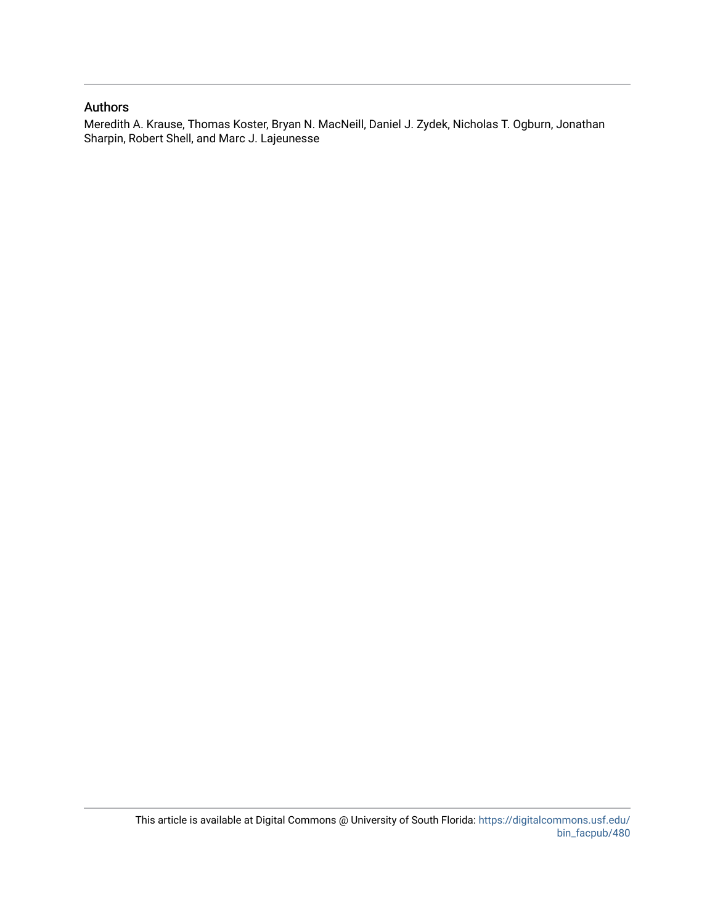#### Authors

Meredith A. Krause, Thomas Koster, Bryan N. MacNeill, Daniel J. Zydek, Nicholas T. Ogburn, Jonathan Sharpin, Robert Shell, and Marc J. Lajeunesse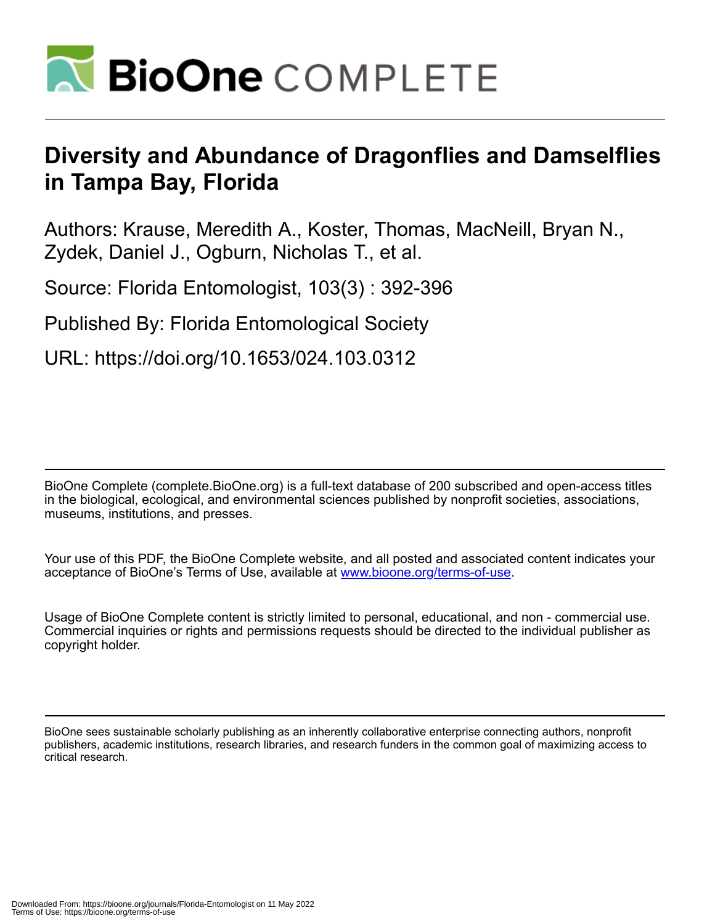

# **Diversity and Abundance of Dragonflies and Damselflies in Tampa Bay, Florida**

Authors: Krause, Meredith A., Koster, Thomas, MacNeill, Bryan N., Zydek, Daniel J., Ogburn, Nicholas T., et al.

Source: Florida Entomologist, 103(3) : 392-396

Published By: Florida Entomological Society

URL: https://doi.org/10.1653/024.103.0312

BioOne Complete (complete.BioOne.org) is a full-text database of 200 subscribed and open-access titles in the biological, ecological, and environmental sciences published by nonprofit societies, associations, museums, institutions, and presses.

Your use of this PDF, the BioOne Complete website, and all posted and associated content indicates your acceptance of BioOne's Terms of Use, available at www.bioone.org/terms-of-use.

Usage of BioOne Complete content is strictly limited to personal, educational, and non - commercial use. Commercial inquiries or rights and permissions requests should be directed to the individual publisher as copyright holder.

BioOne sees sustainable scholarly publishing as an inherently collaborative enterprise connecting authors, nonprofit publishers, academic institutions, research libraries, and research funders in the common goal of maximizing access to critical research.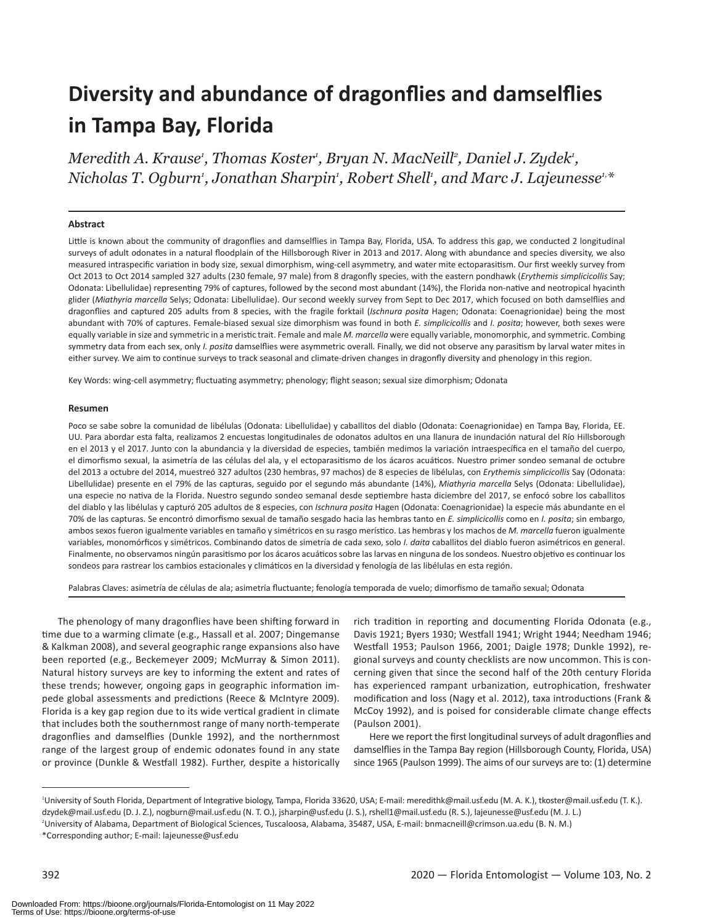# **Diversity and abundance of dragonflies and damselflies in Tampa Bay, Florida**

*Meredith A. Krause1 , Thomas Koster1 , Bryan N. MacNeill2 , Daniel J. Zydek1 , Nicholas T. Ogburn1 , Jonathan Sharpin1 , Robert Shell1 , and Marc J. Lajeunesse1,\**

#### **Abstract**

Little is known about the community of dragonflies and damselflies in Tampa Bay, Florida, USA. To address this gap, we conducted 2 longitudinal surveys of adult odonates in a natural floodplain of the Hillsborough River in 2013 and 2017. Along with abundance and species diversity, we also measured intraspecific variation in body size, sexual dimorphism, wing-cell asymmetry, and water mite ectoparasitism. Our first weekly survey from Oct 2013 to Oct 2014 sampled 327 adults (230 female, 97 male) from 8 dragonfly species, with the eastern pondhawk (*Erythemis simplicicollis* Say; Odonata: Libellulidae) representing 79% of captures, followed by the second most abundant (14%), the Florida non-native and neotropical hyacinth glider (*Miathyria marcella* Selys; Odonata: Libellulidae). Our second weekly survey from Sept to Dec 2017, which focused on both damselflies and dragonflies and captured 205 adults from 8 species, with the fragile forktail (*Ischnura posita* Hagen; Odonata: Coenagrionidae) being the most abundant with 70% of captures. Female-biased sexual size dimorphism was found in both *E. simplicicollis* and *I. posita*; however, both sexes were equally variable in size and symmetric in a meristic trait. Female and male *M. marcella* were equally variable, monomorphic, and symmetric. Combing symmetry data from each sex, only *I. posita* damselflies were asymmetric overall. Finally, we did not observe any parasitism by larval water mites in either survey. We aim to continue surveys to track seasonal and climate-driven changes in dragonfly diversity and phenology in this region.

Key Words: wing-cell asymmetry; fluctuating asymmetry; phenology; flight season; sexual size dimorphism; Odonata

#### **Resumen**

Poco se sabe sobre la comunidad de libélulas (Odonata: Libellulidae) y caballitos del diablo (Odonata: Coenagrionidae) en Tampa Bay, Florida, EE. UU. Para abordar esta falta, realizamos 2 encuestas longitudinales de odonatos adultos en una llanura de inundación natural del Río Hillsborough en el 2013 y el 2017. Junto con la abundancia y la diversidad de especies, también medimos la variación intraespecífica en el tamaño del cuerpo, el dimorfismo sexual, la asimetría de las células del ala, y el ectoparasitismo de los ácaros acuáticos. Nuestro primer sondeo semanal de octubre del 2013 a octubre del 2014, muestreó 327 adultos (230 hembras, 97 machos) de 8 especies de libélulas, con *Erythemis simplicicollis* Say (Odonata: Libellulidae) presente en el 79% de las capturas, seguido por el segundo más abundante (14%), *Miathyria marcella* Selys (Odonata: Libellulidae), una especie no nativa de la Florida. Nuestro segundo sondeo semanal desde septiembre hasta diciembre del 2017, se enfocó sobre los caballitos del diablo y las libélulas y capturó 205 adultos de 8 especies, con *Ischnura posita* Hagen (Odonata: Coenagrionidae) la especie más abundante en el 70% de las capturas. Se encontró dimorfismo sexual de tamaño sesgado hacia las hembras tanto en *E. simplicicollis* como en *I. posita*; sin embargo, ambos sexos fueron igualmente variables en tamaño y simétricos en su rasgo merístico. Las hembras y los machos de *M. marcella* fueron igualmente variables, monomórficos y simétricos. Combinando datos de simetría de cada sexo, solo *I. daita* caballitos del diablo fueron asimétricos en general. Finalmente, no observamos ningún parasitismo por los ácaros acuáticos sobre las larvas en ninguna de los sondeos. Nuestro objetivo es continuar los sondeos para rastrear los cambios estacionales y climáticos en la diversidad y fenología de las libélulas en esta región.

Palabras Claves: asimetría de células de ala; asimetría fluctuante; fenología temporada de vuelo; dimorfismo de tamaño sexual; Odonata

The phenology of many dragonflies have been shifting forward in time due to a warming climate (e.g., Hassall et al. 2007; Dingemanse & Kalkman 2008), and several geographic range expansions also have been reported (e.g., Beckemeyer 2009; McMurray & Simon 2011). Natural history surveys are key to informing the extent and rates of these trends; however, ongoing gaps in geographic information impede global assessments and predictions (Reece & McIntyre 2009). Florida is a key gap region due to its wide vertical gradient in climate that includes both the southernmost range of many north-temperate dragonflies and damselflies (Dunkle 1992), and the northernmost range of the largest group of endemic odonates found in any state or province (Dunkle & Westfall 1982). Further, despite a historically

rich tradition in reporting and documenting Florida Odonata (e.g., Davis 1921; Byers 1930; Westfall 1941; Wright 1944; Needham 1946; Westfall 1953; Paulson 1966, 2001; Daigle 1978; Dunkle 1992), regional surveys and county checklists are now uncommon. This is concerning given that since the second half of the 20th century Florida has experienced rampant urbanization, eutrophication, freshwater modification and loss (Nagy et al. 2012), taxa introductions (Frank & McCoy 1992), and is poised for considerable climate change effects (Paulson 2001).

Here we report the first longitudinal surveys of adult dragonflies and damselflies in the Tampa Bay region (Hillsborough County, Florida, USA) since 1965 (Paulson 1999). The aims of our surveys are to: (1) determine

<sup>1</sup> University of South Florida, Department of Integrative biology, Tampa, Florida 33620, USA; E-mail: meredithk@mail.usf.edu (M. A. K.), tkoster@mail.usf.edu (T. K.). dzydek@mail.usf.edu (D. J. Z.), nogburn@mail.usf.edu (N. T. O.), jsharpin@usf.edu (J. S.), rshell1@mail.usf.edu (R. S.), lajeunesse@usf.edu (M. J. L.) 2 University of Alabama, Department of Biological Sciences, Tuscaloosa, Alabama, 35487, USA, E-mail: bnmacneill@crimson.ua.edu (B. N. M.) \*Corresponding author; E-mail: lajeunesse@usf.edu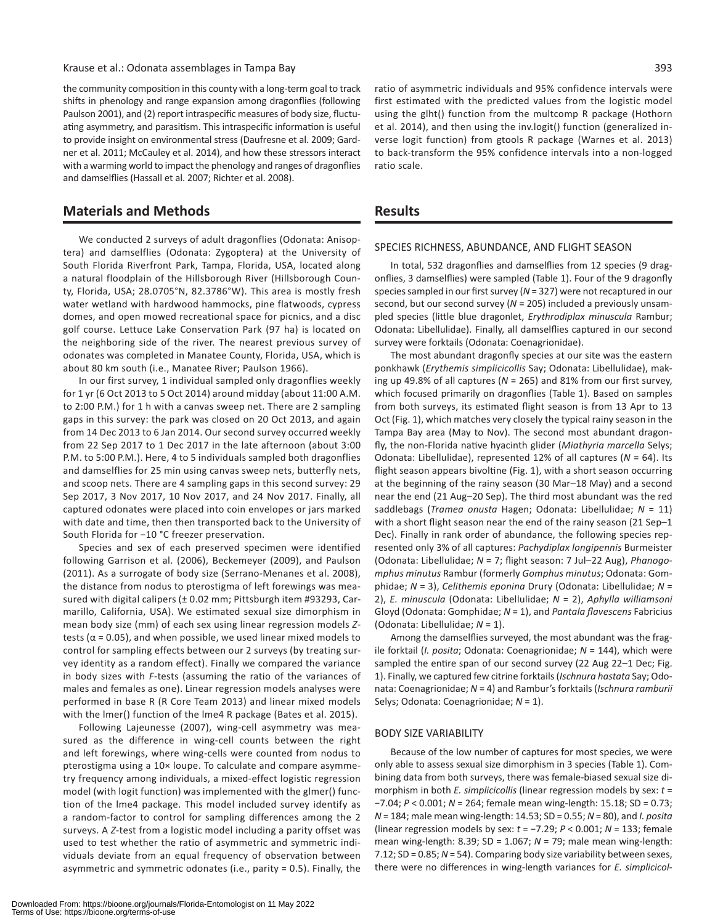#### Krause et al.: Odonata assemblages in Tampa Bay 393

the community composition in this county with a long-term goal to track shifts in phenology and range expansion among dragonflies (following Paulson 2001), and (2) report intraspecific measures of body size, fluctuating asymmetry, and parasitism. This intraspecific information is useful to provide insight on environmental stress (Daufresne et al. 2009; Gardner et al. 2011; McCauley et al. 2014), and how these stressors interact with a warming world to impact the phenology and ranges of dragonflies and damselflies (Hassall et al. 2007; Richter et al. 2008).

#### **Materials and Methods**

We conducted 2 surveys of adult dragonflies (Odonata: Anisoptera) and damselflies (Odonata: Zygoptera) at the University of South Florida Riverfront Park, Tampa, Florida, USA, located along a natural floodplain of the Hillsborough River (Hillsborough County, Florida, USA; 28.0705°N, 82.3786°W). This area is mostly fresh water wetland with hardwood hammocks, pine flatwoods, cypress domes, and open mowed recreational space for picnics, and a disc golf course. Lettuce Lake Conservation Park (97 ha) is located on the neighboring side of the river. The nearest previous survey of odonates was completed in Manatee County, Florida, USA, which is about 80 km south (i.e., Manatee River; Paulson 1966).

In our first survey, 1 individual sampled only dragonflies weekly for 1 yr (6 Oct 2013 to 5 Oct 2014) around midday (about 11:00 A.M. to 2:00 P.M.) for 1 h with a canvas sweep net. There are 2 sampling gaps in this survey: the park was closed on 20 Oct 2013, and again from 14 Dec 2013 to 6 Jan 2014. Our second survey occurred weekly from 22 Sep 2017 to 1 Dec 2017 in the late afternoon (about 3:00 P.M. to 5:00 P.M.). Here, 4 to 5 individuals sampled both dragonflies and damselflies for 25 min using canvas sweep nets, butterfly nets, and scoop nets. There are 4 sampling gaps in this second survey: 29 Sep 2017, 3 Nov 2017, 10 Nov 2017, and 24 Nov 2017. Finally, all captured odonates were placed into coin envelopes or jars marked with date and time, then then transported back to the University of South Florida for −10 °C freezer preservation.

Species and sex of each preserved specimen were identified following Garrison et al. (2006), Beckemeyer (2009), and Paulson (2011). As a surrogate of body size (Serrano-Menanes et al. 2008), the distance from nodus to pterostigma of left forewings was measured with digital calipers (± 0.02 mm; Pittsburgh item #93293, Carmarillo, California, USA). We estimated sexual size dimorphism in mean body size (mm) of each sex using linear regression models *Z*tests ( $α = 0.05$ ), and when possible, we used linear mixed models to control for sampling effects between our 2 surveys (by treating survey identity as a random effect). Finally we compared the variance in body sizes with *F*-tests (assuming the ratio of the variances of males and females as one). Linear regression models analyses were performed in base R (R Core Team 2013) and linear mixed models with the lmer() function of the lme4 R package (Bates et al. 2015).

Following Lajeunesse (2007), wing-cell asymmetry was measured as the difference in wing-cell counts between the right and left forewings, where wing-cells were counted from nodus to pterostigma using a 10× loupe. To calculate and compare asymmetry frequency among individuals, a mixed-effect logistic regression model (with logit function) was implemented with the glmer() function of the lme4 package. This model included survey identify as a random-factor to control for sampling differences among the 2 surveys. A *Z*-test from a logistic model including a parity offset was used to test whether the ratio of asymmetric and symmetric individuals deviate from an equal frequency of observation between asymmetric and symmetric odonates (i.e., parity = 0.5). Finally, the

ratio of asymmetric individuals and 95% confidence intervals were first estimated with the predicted values from the logistic model using the glht() function from the multcomp R package (Hothorn et al. 2014), and then using the inv.logit() function (generalized inverse logit function) from gtools R package (Warnes et al. 2013) to back-transform the 95% confidence intervals into a non-logged ratio scale.

#### **Results**

#### SPECIES RICHNESS, ABUNDANCE, AND FLIGHT SEASON

In total, 532 dragonflies and damselflies from 12 species (9 dragonflies, 3 damselflies) were sampled (Table 1). Four of the 9 dragonfly species sampled in our first survey (*N* = 327) were not recaptured in our second, but our second survey (*N* = 205) included a previously unsampled species (little blue dragonlet, *Erythrodiplax minuscula* Rambur; Odonata: Libellulidae). Finally, all damselflies captured in our second survey were forktails (Odonata: Coenagrionidae).

The most abundant dragonfly species at our site was the eastern ponkhawk (*Erythemis simplicicollis* Say; Odonata: Libellulidae), making up 49.8% of all captures (*N* = 265) and 81% from our first survey, which focused primarily on dragonflies (Table 1). Based on samples from both surveys, its estimated flight season is from 13 Apr to 13 Oct (Fig. 1), which matches very closely the typical rainy season in the Tampa Bay area (May to Nov). The second most abundant dragonfly, the non-Florida native hyacinth glider (*Miathyria marcella* Selys; Odonata: Libellulidae), represented 12% of all captures (*N* = 64). Its flight season appears bivoltine (Fig. 1), with a short season occurring at the beginning of the rainy season (30 Mar–18 May) and a second near the end (21 Aug–20 Sep). The third most abundant was the red saddlebags (*Tramea onusta* Hagen; Odonata: Libellulidae; *N* = 11) with a short flight season near the end of the rainy season (21 Sep-1 Dec). Finally in rank order of abundance, the following species represented only 3% of all captures: *Pachydiplax longipennis* Burmeister (Odonata: Libellulidae; *N* = 7; flight season: 7 Jul–22 Aug), *Phanogomphus minutus* Rambur (formerly *Gomphus minutus*; Odonata: Gomphidae; *N* = 3), *Celithemis eponina* Drury (Odonata: Libellulidae; *N* = 2), *E. minuscula* (Odonata: Libellulidae; *N* = 2), *Aphylla williamsoni* Gloyd (Odonata: Gomphidae; *N* = 1), and *Pantala flavescens* Fabricius (Odonata: Libellulidae; *N* = 1).

Among the damselflies surveyed, the most abundant was the fragile forktail (*I. posita*; Odonata: Coenagrionidae; *N* = 144), which were sampled the entire span of our second survey (22 Aug 22–1 Dec; Fig. 1). Finally, we captured few citrine forktails (*Ischnura hastata* Say; Odonata: Coenagrionidae; *N* = 4) and Rambur's forktails (*Ischnura ramburii* Selys; Odonata: Coenagrionidae; *N* = 1).

#### BODY SIZE VARIABILITY

Because of the low number of captures for most species, we were only able to assess sexual size dimorphism in 3 species (Table 1). Combining data from both surveys, there was female-biased sexual size dimorphism in both *E. simplicicollis* (linear regression models by sex: *t* = −7.04; *P* < 0.001; *N* = 264; female mean wing-length: 15.18; SD = 0.73; *N* = 184; male mean wing-length: 14.53; SD = 0.55; *N* = 80), and *I. posita* (linear regression models by sex: *t* = −7.29; *P* < 0.001; *N* = 133; female mean wing-length: 8.39; SD = 1.067; *N* = 79; male mean wing-length: 7.12; SD = 0.85; *N* = 54). Comparing body size variability between sexes, there were no differences in wing-length variances for *E. simplicicol-*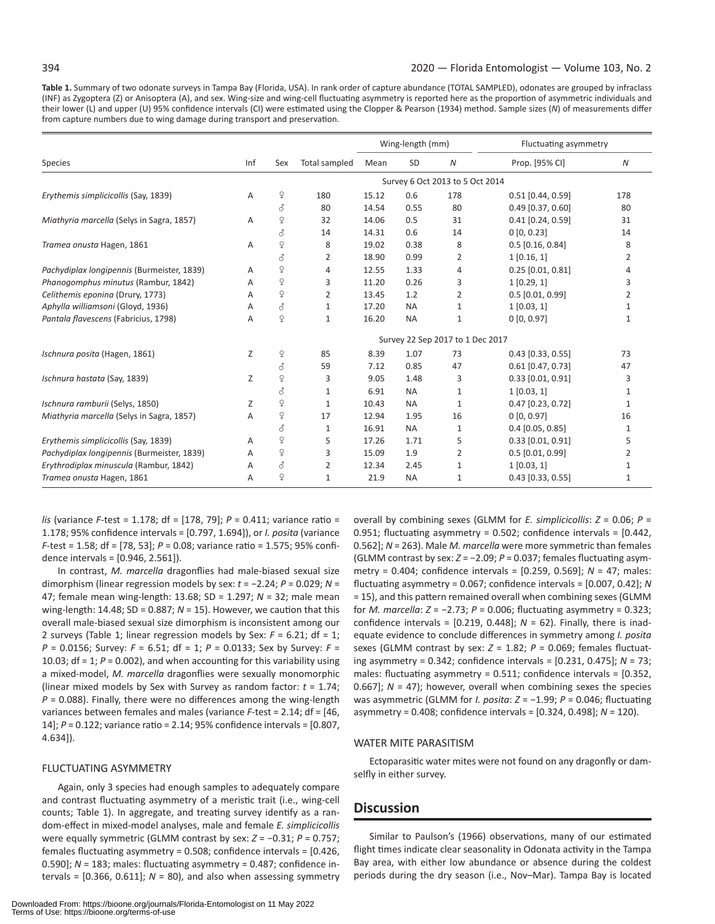**Table 1.** Summary of two odonate surveys in Tampa Bay (Florida, USA). In rank order of capture abundance (TOTAL SAMPLED), odonates are grouped by infraclass (INF) as Zygoptera (Z) or Anisoptera (A), and sex. Wing-size and wing-cell fluctuating asymmetry is reported here as the proportion of asymmetric individuals and their lower (L) and upper (U) 95% confidence intervals (CI) were estimated using the Clopper & Pearson (1934) method. Sample sizes (*N*) of measurements differ from capture numbers due to wing damage during transport and preservation.

|                                            |     |              |                | Wing-length (mm)                 |           |                  | Fluctuating asymmetry |                  |
|--------------------------------------------|-----|--------------|----------------|----------------------------------|-----------|------------------|-----------------------|------------------|
| Species                                    | Inf | Sex          | Total sampled  | Mean                             | SD        | $\boldsymbol{N}$ | Prop. [95% CI]        | $\boldsymbol{N}$ |
|                                            |     |              |                | Survey 6 Oct 2013 to 5 Oct 2014  |           |                  |                       |                  |
| Erythemis simplicicollis (Say, 1839)       | Α   | $\mathsf{P}$ | 180            | 15.12                            | 0.6       | 178              | $0.51$ [0.44, 0.59]   | 178              |
|                                            |     | 8            | 80             | 14.54                            | 0.55      | 80               | $0.49$ [0.37, 0.60]   | 80               |
| Miathyria marcella (Selys in Sagra, 1857)  | Α   | $\mathsf{P}$ | 32             | 14.06                            | 0.5       | 31               | $0.41$ [0.24, 0.59]   | 31               |
|                                            |     | 8            | 14             | 14.31                            | 0.6       | 14               | 0[0, 0.23]            | 14               |
| Tramea onusta Hagen, 1861                  | Α   | $\mathsf{P}$ | 8              | 19.02                            | 0.38      | 8                | $0.5$ [0.16, 0.84]    | 8                |
|                                            |     | 8            | 2              | 18.90                            | 0.99      | 2                | 1[0.16, 1]            | 2                |
| Pachydiplax longipennis (Burmeister, 1839) | Α   | $\mathsf{P}$ | $\overline{4}$ | 12.55                            | 1.33      | 4                | $0.25$ [0.01, 0.81]   | 4                |
| Phanogomphus minutus (Rambur, 1842)        | Α   | ¥            | 3              | 11.20                            | 0.26      | 3                | 1[0.29, 1]            | 3                |
| Celithemis eponina (Drury, 1773)           | Α   | $\mathsf{P}$ | $\overline{2}$ | 13.45                            | 1.2       | $\overline{2}$   | $0.5$ [0.01, 0.99]    | $\overline{2}$   |
| Aphylla williamsoni (Gloyd, 1936)          | Α   | 8            | $\mathbf{1}$   | 17.20                            | <b>NA</b> | $\mathbf{1}$     | 1[0.03, 1]            | 1                |
| Pantala flavescens (Fabricius, 1798)       | Α   | $\mathsf{Q}$ | $\mathbf{1}$   | 16.20                            | <b>NA</b> | 1                | 0[0, 0.97]            | $\mathbf{1}$     |
|                                            |     |              |                | Survey 22 Sep 2017 to 1 Dec 2017 |           |                  |                       |                  |
| Ischnura posita (Hagen, 1861)              | Z   | ¥            | 85             | 8.39                             | 1.07      | 73               | $0.43$ [0.33, 0.55]   | 73               |
|                                            |     | 8            | 59             | 7.12                             | 0.85      | 47               | $0.61$ [0.47, 0.73]   | 47               |
| Ischnura hastata (Say, 1839)               | Z   | ¥            | 3              | 9.05                             | 1.48      | 3                | $0.33$ [0.01, 0.91]   | 3                |
|                                            |     | 8            | 1              | 6.91                             | <b>NA</b> | $\mathbf{1}$     | 1[0.03, 1]            | $\mathbf{1}$     |
| Ischnura ramburii (Selys, 1850)            | Ζ   | $\mathsf{P}$ | $\mathbf{1}$   | 10.43                            | <b>NA</b> | $\mathbf{1}$     | $0.47$ [0.23, 0.72]   | $\mathbf{1}$     |
| Miathyria marcella (Selys in Sagra, 1857)  | A   | $\mathsf{P}$ | 17             | 12.94                            | 1.95      | 16               | 0[0, 0.97]            | 16               |
|                                            |     | 8            | $\mathbf{1}$   | 16.91                            | <b>NA</b> | $\mathbf{1}$     | $0.4$ [0.05, 0.85]    | 1                |
| Erythemis simplicicollis (Say, 1839)       | Α   | $\mathsf{P}$ | 5              | 17.26                            | 1.71      | 5                | $0.33$ [0.01, 0.91]   | 5                |
| Pachydiplax longipennis (Burmeister, 1839) | Α   | $\mathsf{P}$ | 3              | 15.09                            | 1.9       | $\overline{2}$   | $0.5$ [0.01, 0.99]    | $\overline{2}$   |
| Erythrodiplax minuscula (Rambur, 1842)     | A   | 8            | 2              | 12.34                            | 2.45      | $\mathbf{1}$     | 1[0.03, 1]            | $\mathbf{1}$     |
| Tramea onusta Hagen, 1861                  | Α   | $\mathsf{P}$ | $\mathbf{1}$   | 21.9                             | <b>NA</b> | $\mathbf{1}$     | $0.43$ [0.33, 0.55]   | 1                |

*lis* (variance *F*-test = 1.178; df = [178, 79]; *P* = 0.411; variance ratio = 1.178; 95% confidence intervals = [0.797, 1.694]), or *I. posita* (variance *F*-test = 1.58; df = [78, 53]; *P* = 0.08; variance ratio = 1.575; 95% confidence intervals = [0.946, 2.561]).

In contrast, *M. marcella* dragonflies had male-biased sexual size dimorphism (linear regression models by sex: *t* = −2.24; *P* = 0.029; *N* = 47; female mean wing-length: 13.68; SD = 1.297; *N* = 32; male mean wing-length: 14.48; SD = 0.887; *N* = 15). However, we caution that this overall male-biased sexual size dimorphism is inconsistent among our 2 surveys (Table 1; linear regression models by Sex: *F* = 6.21; df = 1; *P* = 0.0156; Survey: *F* = 6.51; df = 1; *P* = 0.0133; Sex by Survey: *F* = 10.03; df = 1; *P* = 0.002), and when accounting for this variability using a mixed-model, *M. marcella* dragonflies were sexually monomorphic (linear mixed models by Sex with Survey as random factor: *t* = 1.74;  $P = 0.088$ ). Finally, there were no differences among the wing-length variances between females and males (variance *F*-test = 2.14; df = [46, 14]; *P* = 0.122; variance ratio = 2.14; 95% confidence intervals = [0.807, 4.634]).

#### FLUCTUATING ASYMMETRY

Again, only 3 species had enough samples to adequately compare and contrast fluctuating asymmetry of a meristic trait (i.e., wing-cell counts; Table 1). In aggregate, and treating survey identify as a random-effect in mixed-model analyses, male and female *E. simplicicollis* were equally symmetric (GLMM contrast by sex: *Z* = −0.31; *P* = 0.757; females fluctuating asymmetry = 0.508; confidence intervals = [0.426, 0.590]; *N* = 183; males: fluctuating asymmetry = 0.487; confidence intervals =  $[0.366, 0.611]$ ;  $N = 80$ ), and also when assessing symmetry

0.951; fluctuating asymmetry = 0.502; confidence intervals = [0.442, 0.562]; *N* = 263). Male *M. marcella* were more symmetric than females (GLMM contrast by sex: *Z* = −2.09; *P* = 0.037; females fluctuating asymmetry = 0.404; confidence intervals = [0.259, 0.569]; *N* = 47; males: fluctuating asymmetry = 0.067; confidence intervals = [0.007, 0.42]; *N* = 15), and this pattern remained overall when combining sexes (GLMM for *M. marcella*: *Z* = −2.73; *P* = 0.006; fluctuating asymmetry = 0.323; confidence intervals = [0.219, 0.448]; *N* = 62). Finally, there is inadequate evidence to conclude differences in symmetry among *I. posita* sexes (GLMM contrast by sex: *Z* = 1.82; *P* = 0.069; females fluctuating asymmetry = 0.342; confidence intervals = [0.231, 0.475]; *N* = 73; males: fluctuating asymmetry = 0.511; confidence intervals = [0.352, 0.667]; *N* = 47); however, overall when combining sexes the species was asymmetric (GLMM for *I. posita*: *Z* = −1.99; *P* = 0.046; fluctuating asymmetry = 0.408; confidence intervals = [0.324, 0.498]; *N* = 120). WATER MITE PARASITISM

overall by combining sexes (GLMM for *E. simplicicollis*: *Z* = 0.06; *P* =

Ectoparasitic water mites were not found on any dragonfly or damselfly in either survey.

#### **Discussion**

Similar to Paulson's (1966) observations, many of our estimated flight times indicate clear seasonality in Odonata activity in the Tampa Bay area, with either low abundance or absence during the coldest periods during the dry season (i.e., Nov–Mar). Tampa Bay is located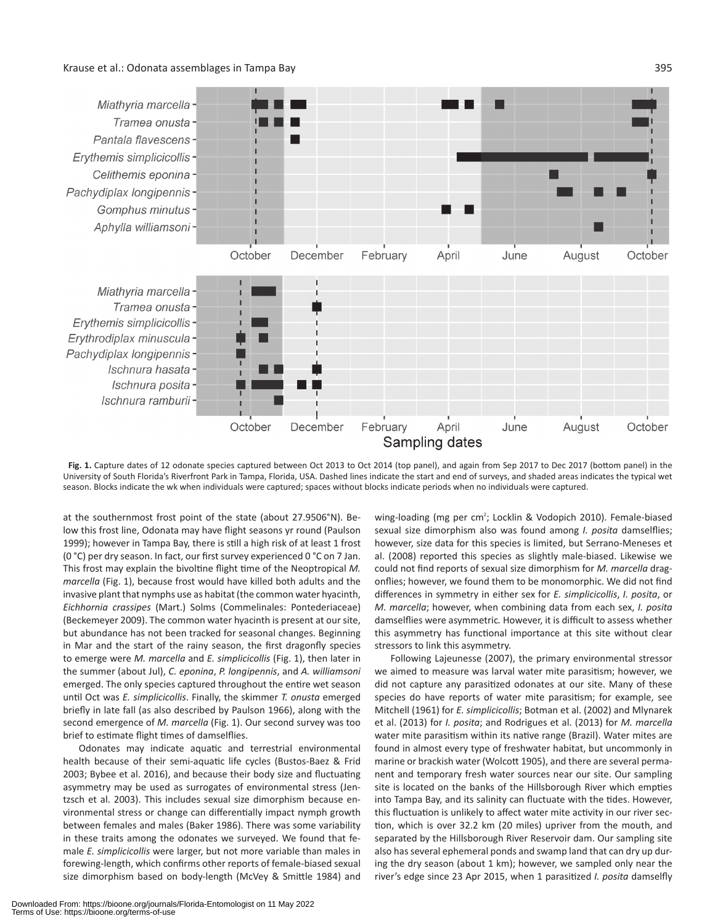#### Krause et al.: Odonata assemblages in Tampa Bay 395



**Fig. 1.** Capture dates of 12 odonate species captured between Oct 2013 to Oct 2014 (top panel), and again from Sep 2017 to Dec 2017 (bottom panel) in the University of South Florida's Riverfront Park in Tampa, Florida, USA. Dashed lines indicate the start and end of surveys, and shaded areas indicates the typical wet season. Blocks indicate the wk when individuals were captured; spaces without blocks indicate periods when no individuals were captured.

at the southernmost frost point of the state (about 27.9506°N). Below this frost line, Odonata may have flight seasons yr round (Paulson 1999); however in Tampa Bay, there is still a high risk of at least 1 frost (0 °C) per dry season. In fact, our first survey experienced 0 °C on 7 Jan. This frost may explain the bivoltine flight time of the Neoptropical *M. marcella* (Fig. 1), because frost would have killed both adults and the invasive plant that nymphs use as habitat (the common water hyacinth, *Eichhornia crassipes* (Mart.) Solms (Commelinales: Pontederiaceae) (Beckemeyer 2009). The common water hyacinth is present at our site, but abundance has not been tracked for seasonal changes. Beginning in Mar and the start of the rainy season, the first dragonfly species to emerge were *M. marcella* and *E. simplicicollis* (Fig. 1), then later in the summer (about Jul), *C. eponina*, *P. longipennis*, and *A. williamsoni* emerged. The only species captured throughout the entire wet season until Oct was *E. simplicicollis*. Finally, the skimmer *T. onusta* emerged briefly in late fall (as also described by Paulson 1966), along with the second emergence of *M. marcella* (Fig. 1). Our second survey was too brief to estimate flight times of damselflies.

Odonates may indicate aquatic and terrestrial environmental health because of their semi-aquatic life cycles (Bustos-Baez & Frid 2003; Bybee et al. 2016), and because their body size and fluctuating asymmetry may be used as surrogates of environmental stress (Jentzsch et al. 2003). This includes sexual size dimorphism because environmental stress or change can differentially impact nymph growth between females and males (Baker 1986). There was some variability in these traits among the odonates we surveyed. We found that fe-

male *E. simplicicollis* were larger, but not more variable than males in forewing-length, which confirms other reports of female-biased sexual size dimorphism based on body-length (McVey & Smittle 1984) and

wing-loading (mg per cm<sup>2</sup>; Locklin & Vodopich 2010). Female-biased sexual size dimorphism also was found among *I. posita* damselflies; however, size data for this species is limited, but Serrano-Meneses et al. (2008) reported this species as slightly male-biased. Likewise we could not find reports of sexual size dimorphism for *M. marcella* dragonflies; however, we found them to be monomorphic. We did not find differences in symmetry in either sex for *E. simplicicollis*, *I. posita*, or *M. marcella*; however, when combining data from each sex, *I. posita* damselflies were asymmetric*.* However, it is difficult to assess whether this asymmetry has functional importance at this site without clear stressors to link this asymmetry.

Following Lajeunesse (2007), the primary environmental stressor we aimed to measure was larval water mite parasitism; however, we did not capture any parasitized odonates at our site. Many of these species do have reports of water mite parasitism; for example, see Mitchell (1961) for *E. simplicicollis*; Botman et al. (2002) and Mlynarek et al. (2013) for *I. posita*; and Rodrigues et al. (2013) for *M. marcella* water mite parasitism within its native range (Brazil). Water mites are found in almost every type of freshwater habitat, but uncommonly in marine or brackish water (Wolcott 1905), and there are several permanent and temporary fresh water sources near our site. Our sampling site is located on the banks of the Hillsborough River which empties into Tampa Bay, and its salinity can fluctuate with the tides. However, this fluctuation is unlikely to affect water mite activity in our river section, which is over 32.2 km (20 miles) upriver from the mouth, and separated by the Hillsborough River Reservoir dam. Our sampling site also has several ephemeral ponds and swamp land that can dry up during the dry season (about 1 km); however, we sampled only near the river's edge since 23 Apr 2015, when 1 parasitized *I. posita* damselfly